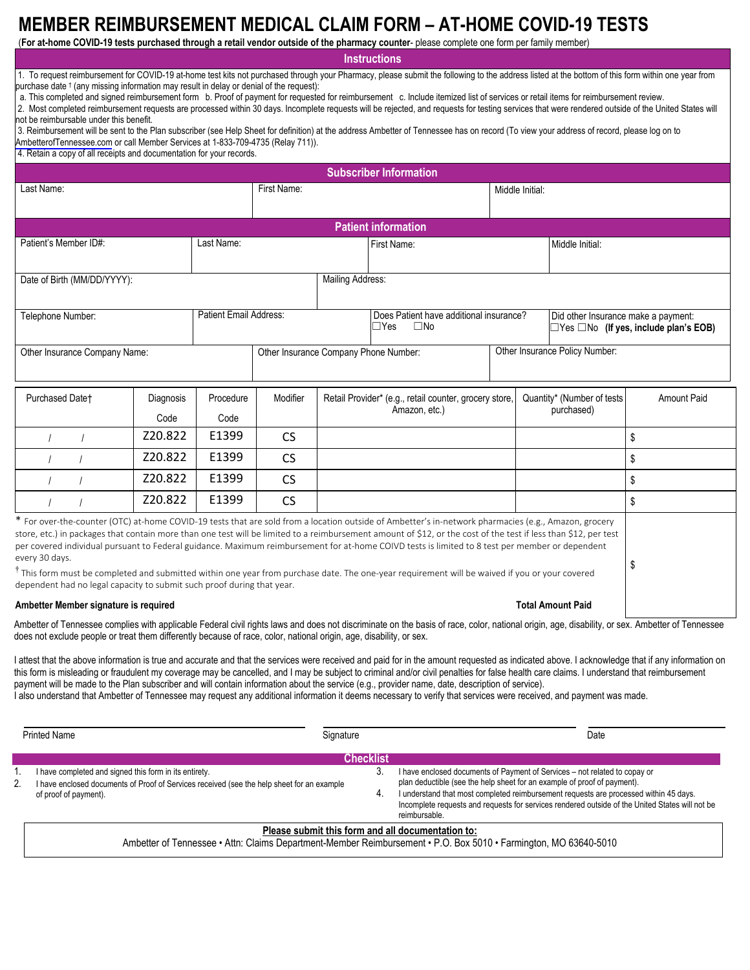## **MEMBER REIMBURSEMENT MEDICAL CLAIM FORM – AT-HOME COVID-19 TESTS**

(**For at-home COVID-19 tests purchased through a retail vendor outside of the pharmacy counter**- please complete one form per family member)

**Instructions**

1. To request reimbursement for COVID-19 at-home test kits not purchased through your Pharmacy, please submit the following to the address listed at the bottom of this form within one year from purchase date  $\dagger$  (any missing information may result in delay or denial of the request):

a. This completed and signed reimbursement form b. Proof of payment for requested for reimbursement c. Include itemized list of services or retail items for reimbursement review.

2. Most completed reimbursement requests are processed within 30 days. Incomplete requests will be rejected, and requests for testing services that were rendered outside of the United States will not be reimbursable under this benefit.

3. Reimbursement will be sent to the Plan subscriber (see Help Sheet for definition) at the address Ambetter of Tennessee has on record (To view your address of record, please log on to [AmbetterofTennessee.com](http://www.AmbetterofTennessee.com) or call Member Services at 1-833-709-4735 (Relay 711)).

4. Retain a copy of all receipts and documentation for your records.

| <b>Subscriber Information</b>                                                                                                                                                                                                                                                                                                                                                                                                                                                                                                                                                                                                                           |                   |                            |                                                                                                                     |                                         |  |                                                                                          |                    |  |  |
|---------------------------------------------------------------------------------------------------------------------------------------------------------------------------------------------------------------------------------------------------------------------------------------------------------------------------------------------------------------------------------------------------------------------------------------------------------------------------------------------------------------------------------------------------------------------------------------------------------------------------------------------------------|-------------------|----------------------------|---------------------------------------------------------------------------------------------------------------------|-----------------------------------------|--|------------------------------------------------------------------------------------------|--------------------|--|--|
| Last Name:                                                                                                                                                                                                                                                                                                                                                                                                                                                                                                                                                                                                                                              |                   |                            |                                                                                                                     | First Name:                             |  |                                                                                          | Middle Initial:    |  |  |
| <b>Patient information</b>                                                                                                                                                                                                                                                                                                                                                                                                                                                                                                                                                                                                                              |                   |                            |                                                                                                                     |                                         |  |                                                                                          |                    |  |  |
| Patient's Member ID#:<br>Last Name:                                                                                                                                                                                                                                                                                                                                                                                                                                                                                                                                                                                                                     |                   |                            |                                                                                                                     | First Name:                             |  | Middle Initial:                                                                          |                    |  |  |
| Date of Birth (MM/DD/YYYY):                                                                                                                                                                                                                                                                                                                                                                                                                                                                                                                                                                                                                             |                   |                            | Mailing Address:                                                                                                    |                                         |  |                                                                                          |                    |  |  |
| <b>Patient Email Address:</b><br>Telephone Number:                                                                                                                                                                                                                                                                                                                                                                                                                                                                                                                                                                                                      |                   | $\Box$ Yes<br>$\square$ No |                                                                                                                     | Does Patient have additional insurance? |  | Did other Insurance make a payment:<br>$\Box$ Yes $\Box$ No (If yes, include plan's EOB) |                    |  |  |
| Other Insurance Company Name:                                                                                                                                                                                                                                                                                                                                                                                                                                                                                                                                                                                                                           |                   |                            | Other Insurance Company Phone Number:                                                                               |                                         |  | Other Insurance Policy Number:                                                           |                    |  |  |
| Purchased Datet<br>Diagnosis<br>Code                                                                                                                                                                                                                                                                                                                                                                                                                                                                                                                                                                                                                    | Procedure<br>Code | Modifier                   | Quantity* (Number of tests<br>Retail Provider* (e.g., retail counter, grocery store,<br>purchased)<br>Amazon, etc.) |                                         |  |                                                                                          | <b>Amount Paid</b> |  |  |
| Z20.822                                                                                                                                                                                                                                                                                                                                                                                                                                                                                                                                                                                                                                                 | E1399             | <b>CS</b>                  |                                                                                                                     |                                         |  |                                                                                          | \$                 |  |  |
| Z20.822                                                                                                                                                                                                                                                                                                                                                                                                                                                                                                                                                                                                                                                 | E1399             | <b>CS</b>                  |                                                                                                                     |                                         |  |                                                                                          | \$                 |  |  |
| Z20.822                                                                                                                                                                                                                                                                                                                                                                                                                                                                                                                                                                                                                                                 | E1399             | <b>CS</b>                  |                                                                                                                     |                                         |  |                                                                                          | \$                 |  |  |
| Z20.822                                                                                                                                                                                                                                                                                                                                                                                                                                                                                                                                                                                                                                                 | E1399             | <b>CS</b>                  |                                                                                                                     |                                         |  |                                                                                          | \$                 |  |  |
| * For over-the-counter (OTC) at-home COVID-19 tests that are sold from a location outside of Ambetter's in-network pharmacies (e.g., Amazon, grocery<br>store, etc.) in packages that contain more than one test will be limited to a reimbursement amount of \$12, or the cost of the test if less than \$12, per test<br>per covered individual pursuant to Federal guidance. Maximum reimbursement for at-home COIVD tests is limited to 8 test per member or dependent<br>every 30 days.<br>$^\dagger$ This form must be completed and submitted within one year from purchase date. The one-year requirement will be waived if you or your covered |                   |                            |                                                                                                                     |                                         |  | \$                                                                                       |                    |  |  |

dependent had no legal capacity to submit such proof during that year.

#### **Ambetter Member signature is required**

#### **Total Amount Paid**

Ambetter of Tennessee complies with applicable Federal civil rights laws and does not discriminate on the basis of race, color, national origin, age, disability, or sex. Ambetter of Tennessee does not exclude people or treat them differently because of race, color, national origin, age, disability, or sex.

I attest that the above information is true and accurate and that the services were received and paid for in the amount requested as indicated above. I acknowledge that if any information on this form is misleading or fraudulent my coverage may be cancelled, and I may be subject to criminal and/or civil penalties for false health care claims. I understand that reimbursement payment will be made to the Plan subscriber and will contain information about the service (e.g., provider name, date, description of service).

I also understand that Ambetter of Tennessee may request any additional information it deems necessary to verify that services were received, and payment was made.

| <b>Printed Name</b>                                                                                                                                                                 | Signature                                         | Date                                                                                                                                                                                                                                                                                                                                               |  |  |
|-------------------------------------------------------------------------------------------------------------------------------------------------------------------------------------|---------------------------------------------------|----------------------------------------------------------------------------------------------------------------------------------------------------------------------------------------------------------------------------------------------------------------------------------------------------------------------------------------------------|--|--|
| I have completed and signed this form in its entirety.<br>2.<br>I have enclosed documents of Proof of Services received (see the help sheet for an example<br>of proof of payment). | <b>Checklist</b><br>3<br>4.                       | I have enclosed documents of Payment of Services - not related to copay or<br>plan deductible (see the help sheet for an example of proof of payment).<br>I understand that most completed reimbursement requests are processed within 45 days.<br>Incomplete requests and requests for services rendered outside of the United States will not be |  |  |
|                                                                                                                                                                                     | Please submit this form and all documentation to: | reimbursable.<br>Ampatter of Tennessee $\cdot$ Atto: Claime Department Mamper Deimburgement $\cdot$ D $\cap$ Dev E010 $\cdot$ Egeminates MQ 62640 E010                                                                                                                                                                                             |  |  |

Ambetter of Tennessee • Attn: Claims Department-Member Reimbursement • P.O. Box 5010 • Farmington, MO 63640-5010